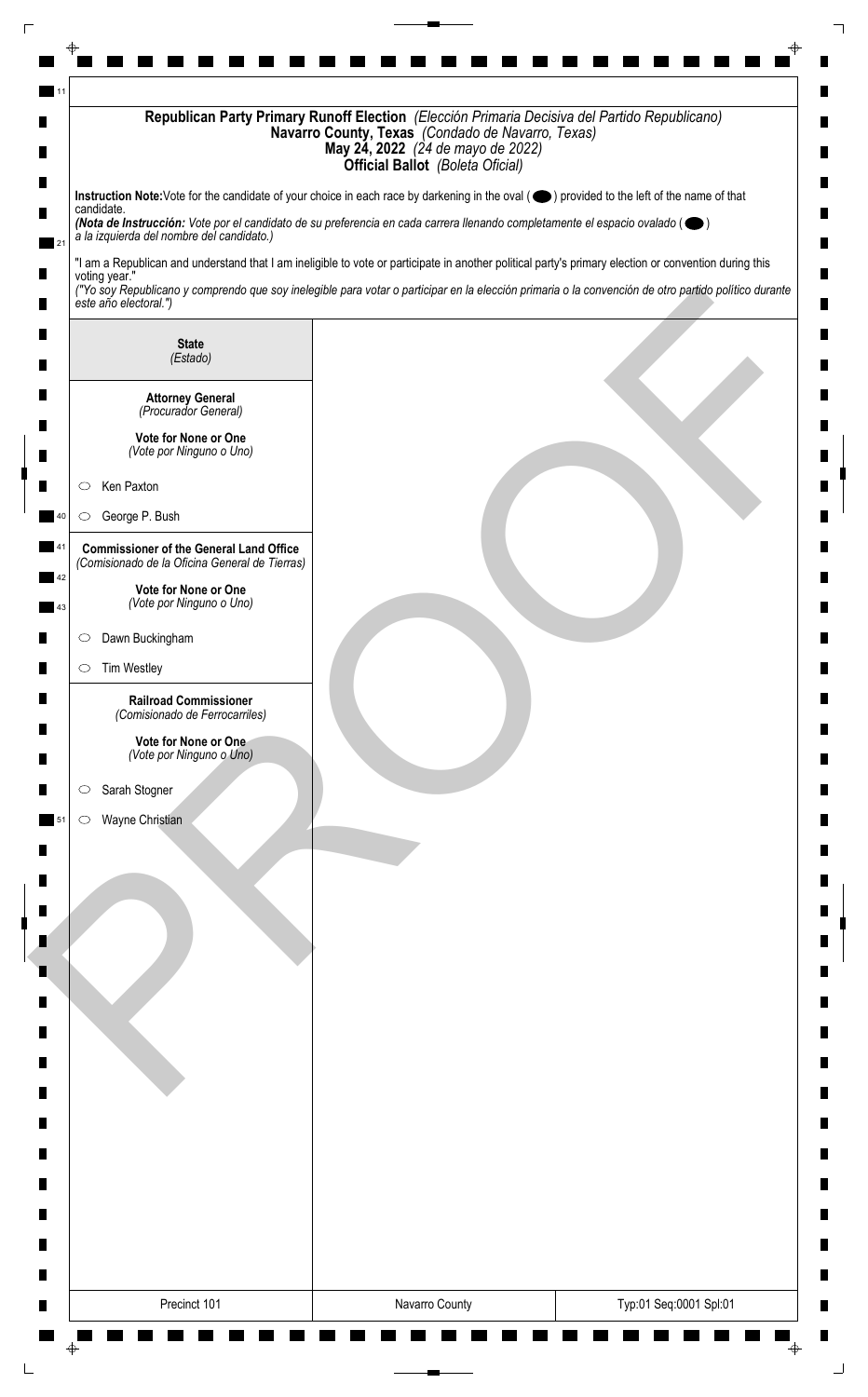|                                                                                                        | Navarro County, Texas (Condado de Navarro, Texas)<br>May 24, 2022 (24 de mayo de 2022)                                                                                                                                                                                                                        |
|--------------------------------------------------------------------------------------------------------|---------------------------------------------------------------------------------------------------------------------------------------------------------------------------------------------------------------------------------------------------------------------------------------------------------------|
| candidate.                                                                                             | <b>Official Ballot</b> (Boleta Oficial)<br>Instruction Note: Vote for the candidate of your choice in each race by darkening in the oval (O) provided to the left of the name of that                                                                                                                         |
| a la izquierda del nombre del candidato.)                                                              | (Nota de Instrucción: Vote por el candidato de su preferencia en cada carrera llenando completamente el espacio ovalado ( $\bigcirc$ )                                                                                                                                                                        |
| voting year."<br>este año electoral.")                                                                 | "I am a Republican and understand that I am ineligible to vote or participate in another political party's primary election or convention during this<br>("Yo soy Republicano y comprendo que soy inelegible para votar o participar en la elección primaria o la convención de otro partido político durante |
| <b>State</b><br>(Estado)                                                                               |                                                                                                                                                                                                                                                                                                               |
| <b>Attorney General</b><br>(Procurador General)                                                        |                                                                                                                                                                                                                                                                                                               |
| Vote for None or One<br>(Vote por Ninguno o Uno)                                                       |                                                                                                                                                                                                                                                                                                               |
| Ken Paxton<br>$\circ$                                                                                  |                                                                                                                                                                                                                                                                                                               |
| George P. Bush<br>$\circ$                                                                              |                                                                                                                                                                                                                                                                                                               |
| <b>Commissioner of the General Land Office</b><br>(Comisionado de la Oficina General de Tierras)<br>42 |                                                                                                                                                                                                                                                                                                               |
| Vote for None or One<br>(Vote por Ninguno o Uno)<br>43                                                 |                                                                                                                                                                                                                                                                                                               |
| Dawn Buckingham<br>$\circ$                                                                             |                                                                                                                                                                                                                                                                                                               |
| Tim Westley<br>$\circ$                                                                                 |                                                                                                                                                                                                                                                                                                               |
| <b>Railroad Commissioner</b><br>(Comisionado de Ferrocarriles)                                         |                                                                                                                                                                                                                                                                                                               |
| Vote for None or One<br>(Vote por Ninguno o Uno)                                                       |                                                                                                                                                                                                                                                                                                               |
| Sarah Stogner<br>$\circ$                                                                               |                                                                                                                                                                                                                                                                                                               |
| Wayne Christian<br>$\circ$<br>51                                                                       |                                                                                                                                                                                                                                                                                                               |
|                                                                                                        |                                                                                                                                                                                                                                                                                                               |
|                                                                                                        |                                                                                                                                                                                                                                                                                                               |
|                                                                                                        |                                                                                                                                                                                                                                                                                                               |
|                                                                                                        |                                                                                                                                                                                                                                                                                                               |
|                                                                                                        |                                                                                                                                                                                                                                                                                                               |
|                                                                                                        |                                                                                                                                                                                                                                                                                                               |
|                                                                                                        |                                                                                                                                                                                                                                                                                                               |
|                                                                                                        |                                                                                                                                                                                                                                                                                                               |
|                                                                                                        |                                                                                                                                                                                                                                                                                                               |
|                                                                                                        |                                                                                                                                                                                                                                                                                                               |
|                                                                                                        |                                                                                                                                                                                                                                                                                                               |
|                                                                                                        |                                                                                                                                                                                                                                                                                                               |
|                                                                                                        |                                                                                                                                                                                                                                                                                                               |

 $\sqcup$